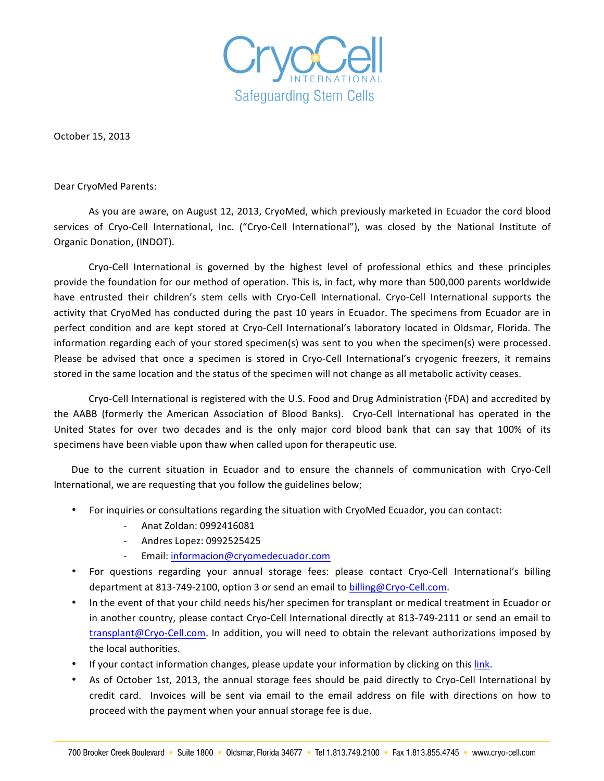

October 15, 2013

Dear CryoMed Parents:

As you are aware, on August 12, 2013, CryoMed, which previously marketed in Ecuador the cord blood services of Cryo-Cell International, Inc. ("Cryo-Cell International"), was closed by the National Institute of Organic Donation, (INDOT).

Cryo-Cell International is governed by the highest level of professional ethics and these principles provide the foundation for our method of operation. This is, in fact, why more than 500,000 parents worldwide have entrusted their children's stem cells with Cryo-Cell International. Cryo-Cell International supports the activity that CryoMed has conducted during the past 10 years in Ecuador. The specimens from Ecuador are in perfect condition and are kept stored at Cryo-Cell International's laboratory located in Oldsmar, Florida. The information regarding each of your stored specimen(s) was sent to you when the specimen(s) were processed. Please be advised that once a specimen is stored in Cryo-Cell International's cryogenic freezers, it remains stored in the same location and the status of the specimen will not change as all metabolic activity ceases.

Cryo-Cell International is registered with the U.S. Food and Drug Administration (FDA) and accredited by the AABB (formerly the American Association of Blood Banks). Cryo-Cell International has operated in the United States for over two decades and is the only major cord blood bank that can say that 100% of its specimens have been viable upon thaw when called upon for therapeutic use.

Due to the current situation in Ecuador and to ensure the channels of communication with Cryo-Cell International, we are requesting that you follow the guidelines below;

- For inquiries or consultations regarding the situation with CryoMed Ecuador, you can contact:
	- Anat Zoldan: 0992416081
	- Andres Lopez: 0992525425
	- Email: informacion@cryomedecuador.com
- For questions regarding your annual storage fees: please contact Cryo-Cell International's billing department at 813-749-2100, option 3 or send an email to billing@Cryo-Cell.com.
- In the event of that your child needs his/her specimen for transplant or medical treatment in Ecuador or in another country, please contact Cryo-Cell International directly at 813-749-2111 or send an email to transplant@Cryo-Cell.com. In addition, you will need to obtain the relevant authorizations imposed by the local authorities.
- If your contact information changes, please update your information by clicking on this link.
- As of October 1st, 2013, the annual storage fees should be paid directly to Cryo-Cell International by credit card. Invoices will be sent via email to the email address on file with directions on how to proceed with the payment when your annual storage fee is due.